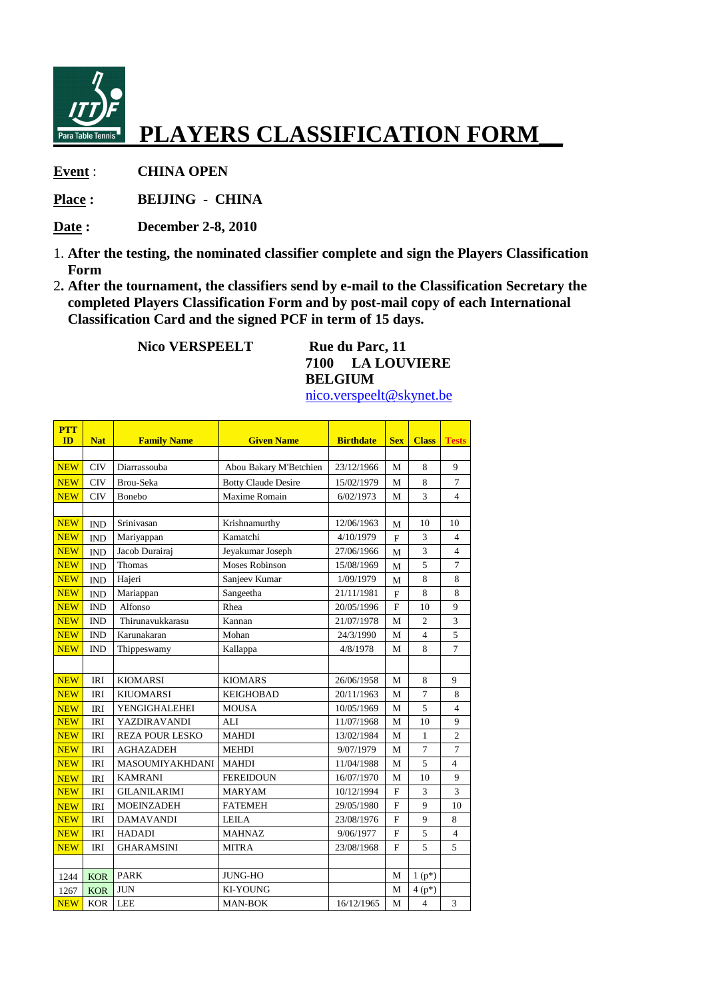

**Event** : **CHINA OPEN** 

**Place : BEIJING - CHINA** 

- **Date : December 2-8, 2010**
- 1. **After the testing, the nominated classifier complete and sign the Players Classification Form**
- 2**. After the tournament, the classifiers send by e-mail to the Classification Secretary the completed Players Classification Form and by post-mail copy of each International Classification Card and the signed PCF in term of 15 days.**

**Nico VERSPEELT** Rue du Parc, 11

**7100 LA LOUVIERE BELGIUM** 

nico.verspeelt@skynet.be

| <b>PTT</b><br>ID | <b>Nat</b>     | <b>Family Name</b>     | <b>Given Name</b>          | <b>Birthdate</b> | <b>Sex</b>   | <b>Class</b>   | <b>Tests</b>   |
|------------------|----------------|------------------------|----------------------------|------------------|--------------|----------------|----------------|
|                  |                |                        |                            |                  |              |                |                |
| <b>NEW</b>       | <b>CIV</b>     | Diarrassouba           | Abou Bakary M'Betchien     | 23/12/1966       | M            | 8              | 9              |
| <b>NEW</b>       | <b>CIV</b>     | Brou-Seka              | <b>Botty Claude Desire</b> | 15/02/1979       | M            | 8              | 7              |
| <b>NEW</b>       | <b>CIV</b>     | <b>Bonebo</b>          | Maxime Romain              | 6/02/1973        | М            | 3              | 4              |
|                  |                |                        |                            |                  |              |                |                |
| <b>NEW</b>       | <b>IND</b>     | Srinivasan             | Krishnamurthy              | 12/06/1963       | M            | 10             | 10             |
| <b>NEW</b>       | <b>IND</b>     | Mariyappan             | Kamatchi                   | 4/10/1979        | $\mathbf{F}$ | 3              | 4              |
| <b>NEW</b>       | <b>IND</b>     | Jacob Durairaj         | Jeyakumar Joseph           | 27/06/1966       | M            | 3              | $\overline{4}$ |
| <b>NEW</b>       | <b>IND</b>     | Thomas                 | Moses Robinson             | 15/08/1969       | M            | 5              | 7              |
| <b>NEW</b>       | <b>IND</b>     | Hajeri                 | Sanjeev Kumar              | 1/09/1979        | M            | 8              | 8              |
| <b>NEW</b>       | <b>IND</b>     | Mariappan              | Sangeetha                  | 21/11/1981       | F            | 8              | 8              |
| <b>NEW</b>       | $\mathbf{IND}$ | Alfonso                | Rhea                       | 20/05/1996       | F            | 10             | 9              |
| <b>NEW</b>       | <b>IND</b>     | Thirunavukkarasu       | Kannan                     | 21/07/1978       | M            | $\overline{2}$ | 3              |
| <b>NEW</b>       | <b>IND</b>     | Karunakaran            | Mohan                      | 24/3/1990        | М            | $\overline{4}$ | 5              |
| <b>NEW</b>       | <b>IND</b>     | Thippeswamy            | Kallappa                   | 4/8/1978         | М            | 8              | $\overline{7}$ |
|                  |                |                        |                            |                  |              |                |                |
| <b>NEW</b>       | <b>IRI</b>     | <b>KIOMARSI</b>        | <b>KIOMARS</b>             | 26/06/1958       | M            | 8              | 9              |
| <b>NEW</b>       | <b>IRI</b>     | <b>KIUOMARSI</b>       | <b>KEIGHOBAD</b>           | 20/11/1963       | M            | $\overline{7}$ | 8              |
| <b>NEW</b>       | <b>IRI</b>     | <b>YENGIGHALEHEI</b>   | <b>MOUSA</b>               | 10/05/1969       | M            | 5              | 4              |
| <b>NEW</b>       | <b>IRI</b>     | <b>YAZDIRAVANDI</b>    | <b>ALI</b>                 | 11/07/1968       | M            | 10             | 9              |
| <b>NEW</b>       | IRI            | <b>REZA POUR LESKO</b> | <b>MAHDI</b>               | 13/02/1984       | М            | 1              | $\overline{2}$ |
| <b>NEW</b>       | <b>IRI</b>     | <b>AGHAZADEH</b>       | <b>MEHDI</b>               | 9/07/1979        | M            | $\overline{7}$ | 7              |
| <b>NEW</b>       | <b>IRI</b>     | MASOUMIYAKHDANI        | <b>MAHDI</b>               | 11/04/1988       | M            | 5              | $\overline{4}$ |
| <b>NEW</b>       | <b>IRI</b>     | <b>KAMRANI</b>         | <b>FEREIDOUN</b>           | 16/07/1970       | M            | 10             | 9              |
| <b>NEW</b>       | <b>IRI</b>     | <b>GILANILARIMI</b>    | <b>MARYAM</b>              | 10/12/1994       | $\mathbf{F}$ | 3              | 3              |
| <b>NEW</b>       | <b>IRI</b>     | <b>MOEINZADEH</b>      | <b>FATEMEH</b>             | 29/05/1980       | F            | 9              | 10             |
| <b>NEW</b>       | <b>IRI</b>     | <b>DAMAVANDI</b>       | <b>LEILA</b>               | 23/08/1976       | F            | 9              | 8              |
| <b>NEW</b>       | <b>IRI</b>     | <b>HADADI</b>          | <b>MAHNAZ</b>              | 9/06/1977        | F            | 5              | 4              |
| <b>NEW</b>       | IRI            | <b>GHARAMSINI</b>      | <b>MITRA</b>               | 23/08/1968       | F            | 5              | 5              |
|                  |                |                        |                            |                  |              |                |                |
| 1244             | <b>KOR</b>     | <b>PARK</b>            | <b>JUNG-HO</b>             |                  | М            | $1(p*)$        |                |
| 1267             | <b>KOR</b>     | <b>JUN</b>             | <b>KI-YOUNG</b>            |                  | M            | $4(p*)$        |                |
| <b>NEW</b>       | <b>KOR</b>     | LEE                    | <b>MAN-BOK</b>             | 16/12/1965       | M            | $\overline{4}$ | 3              |